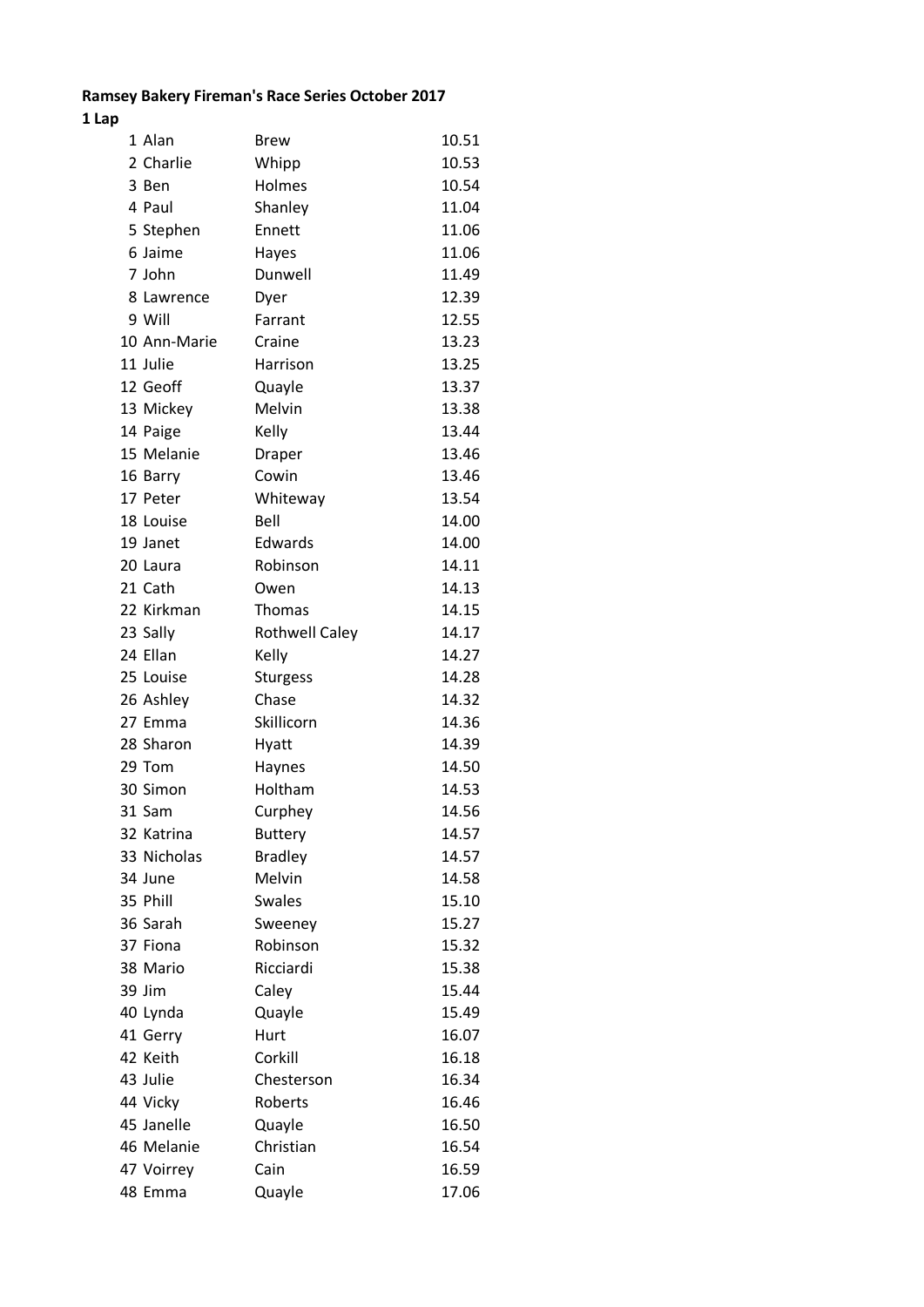## **Ramsey Bakery Fireman's Race Series October 2017**

## **1 Lap**

| 1 Alan       | <b>Brew</b>           | 10.51 |
|--------------|-----------------------|-------|
| 2 Charlie    | Whipp                 | 10.53 |
| 3 Ben        | Holmes                | 10.54 |
| 4 Paul       | Shanley               | 11.04 |
| 5 Stephen    | Ennett                | 11.06 |
| 6 Jaime      | Hayes                 | 11.06 |
| 7 John       | Dunwell               | 11.49 |
| 8 Lawrence   | Dyer                  | 12.39 |
| 9 Will       | Farrant               | 12.55 |
| 10 Ann-Marie | Craine                | 13.23 |
| 11 Julie     | Harrison              | 13.25 |
| 12 Geoff     | Quayle                | 13.37 |
| 13 Mickey    | Melvin                | 13.38 |
| 14 Paige     | Kelly                 | 13.44 |
| 15 Melanie   | <b>Draper</b>         | 13.46 |
| 16 Barry     | Cowin                 | 13.46 |
| 17 Peter     | Whiteway              | 13.54 |
| 18 Louise    | Bell                  | 14.00 |
| 19 Janet     | Edwards               | 14.00 |
| 20 Laura     | Robinson              | 14.11 |
| 21 Cath      | Owen                  | 14.13 |
| 22 Kirkman   | <b>Thomas</b>         | 14.15 |
| 23 Sally     | <b>Rothwell Caley</b> | 14.17 |
| 24 Ellan     | Kelly                 | 14.27 |
| 25 Louise    | <b>Sturgess</b>       | 14.28 |
| 26 Ashley    | Chase                 | 14.32 |
| 27 Emma      | Skillicorn            | 14.36 |
| 28 Sharon    | Hyatt                 | 14.39 |
| 29 Tom       | Haynes                | 14.50 |
| 30 Simon     | Holtham               | 14.53 |
| 31 Sam       | Curphey               | 14.56 |
| 32 Katrina   | <b>Buttery</b>        | 14.57 |
| 33 Nicholas  | <b>Bradley</b>        | 14.57 |
| 34 June      | Melvin                | 14.58 |
| 35 Phill     | <b>Swales</b>         | 15.10 |
| 36 Sarah     | Sweeney               | 15.27 |
| 37 Fiona     | Robinson              | 15.32 |
| 38 Mario     | Ricciardi             | 15.38 |
| 39 Jim       | Caley                 | 15.44 |
| 40 Lynda     | Quayle                | 15.49 |
| 41 Gerry     | Hurt                  | 16.07 |
| 42 Keith     | Corkill               | 16.18 |
| 43 Julie     | Chesterson            | 16.34 |
| 44 Vicky     | Roberts               | 16.46 |
| 45 Janelle   | Quayle                | 16.50 |
| 46 Melanie   | Christian             | 16.54 |
| 47 Voirrey   | Cain                  | 16.59 |
| 48 Emma      | Quayle                | 17.06 |
|              |                       |       |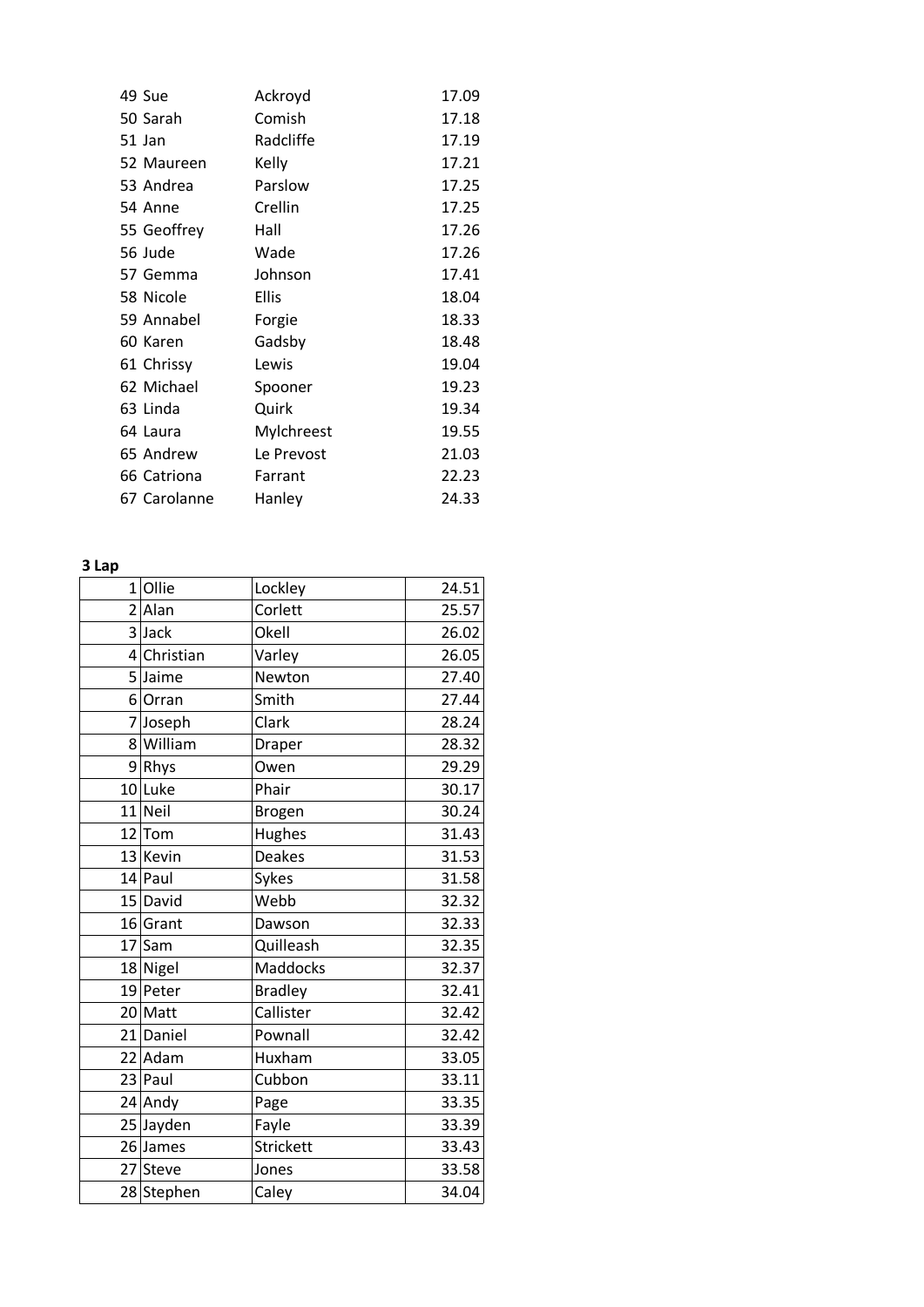| 49 Sue       | Ackroyd      | 17.09 |
|--------------|--------------|-------|
| 50 Sarah     | Comish       | 17.18 |
| 51 Jan       | Radcliffe    | 17.19 |
| 52 Maureen   | Kelly        | 17.21 |
| 53 Andrea    | Parslow      | 17.25 |
| 54 Anne      | Crellin      | 17.25 |
| 55 Geoffrey  | Hall         | 17.26 |
| 56 Jude      | Wade         | 17.26 |
| 57 Gemma     | Johnson      | 17.41 |
| 58 Nicole    | <b>Ellis</b> | 18.04 |
| 59 Annabel   | Forgie       | 18.33 |
| 60 Karen     | Gadsby       | 18.48 |
| 61 Chrissy   | Lewis        | 19.04 |
| 62 Michael   | Spooner      | 19.23 |
| 63 Linda     | Quirk        | 19.34 |
| 64 Laura     | Mylchreest   | 19.55 |
| 65 Andrew    | Le Prevost   | 21.03 |
| 66 Catriona  | Farrant      | 22.23 |
| 67 Carolanne | Hanley       | 24.33 |

## **3 Lap**

| $1$ Ollie   | Lockley         | 24.51 |
|-------------|-----------------|-------|
| $2$ Alan    | Corlett         | 25.57 |
| 3 Jack      | Okell           | 26.02 |
| 4 Christian | Varley          | 26.05 |
| 5 Jaime     | Newton          | 27.40 |
| 6 Orran     | Smith           | 27.44 |
| 7 Joseph    | Clark           | 28.24 |
| 8 William   | Draper          | 28.32 |
| 9Rhys       | Owen            | 29.29 |
| 10 Luke     | Phair           | 30.17 |
| $11$ Neil   | Brogen          | 30.24 |
| $12$ Tom    | Hughes          | 31.43 |
| 13 Kevin    | <b>Deakes</b>   | 31.53 |
| $14$ Paul   | Sykes           | 31.58 |
| $15$ David  | Webb            | 32.32 |
| $16$ Grant  | Dawson          | 32.33 |
| $17$ Sam    | Quilleash       | 32.35 |
| 18 Nigel    | <b>Maddocks</b> | 32.37 |
| 19 Peter    | <b>Bradley</b>  | 32.41 |
| $20$ Matt   | Callister       | 32.42 |
| 21 Daniel   | Pownall         | 32.42 |
| 22 Adam     | Huxham          | 33.05 |
| $23$ Paul   | Cubbon          | 33.11 |
| 24 Andy     | Page            | 33.35 |
| 25 Jayden   | Fayle           | 33.39 |
| 26 James    | Strickett       | 33.43 |
| 27 Steve    | Jones           | 33.58 |
| 28 Stephen  | Caley           | 34.04 |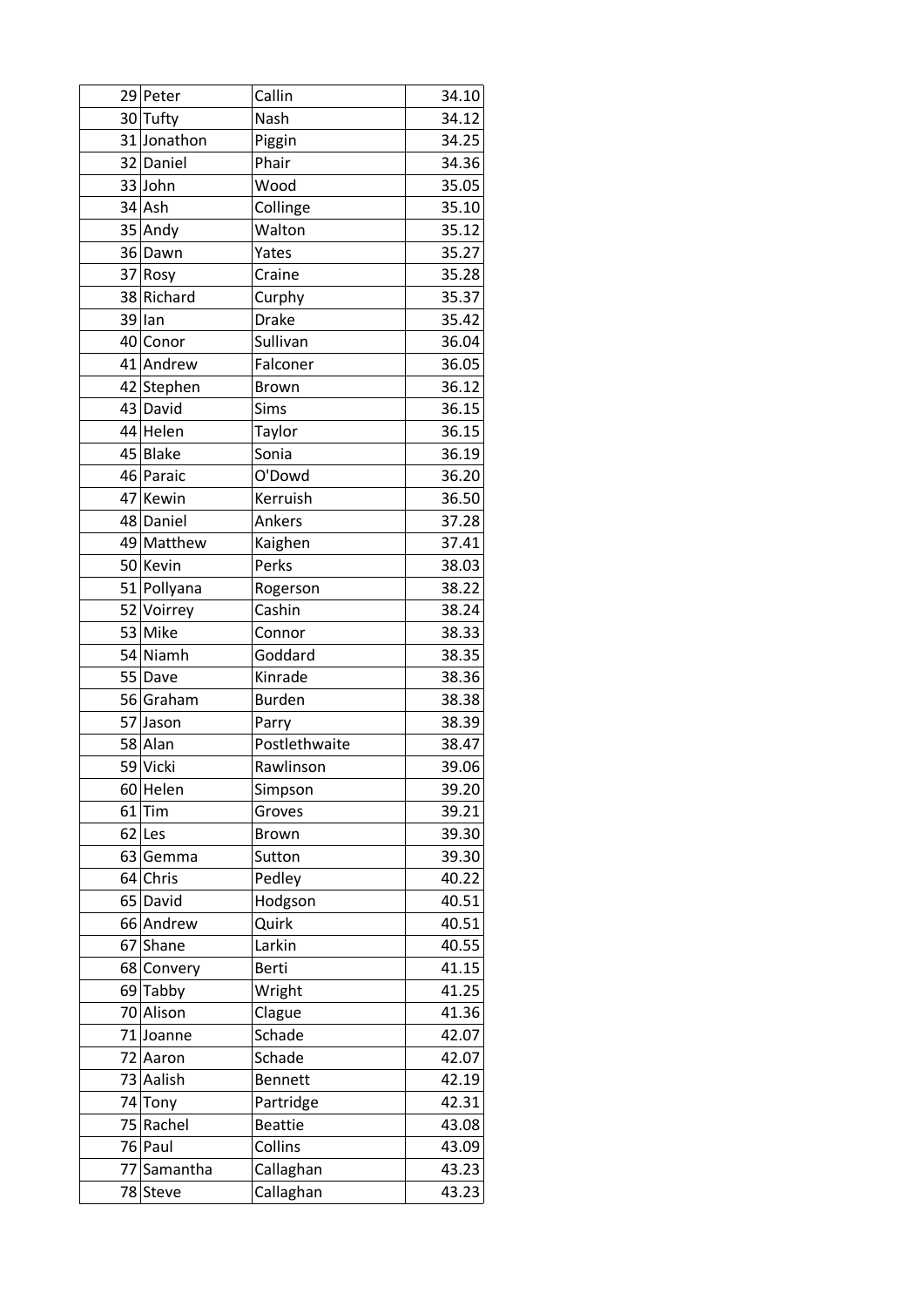| 29 Peter    | Callin         | 34.10 |
|-------------|----------------|-------|
| 30 Tufty    | Nash           | 34.12 |
| 31 Jonathon | Piggin         | 34.25 |
| 32 Daniel   | Phair          | 34.36 |
| 33 John     | Wood           | 35.05 |
| $34$ Ash    | Collinge       | 35.10 |
| 35 Andy     | Walton         | 35.12 |
| 36 Dawn     | Yates          | 35.27 |
| 37 Rosy     | Craine         | 35.28 |
| 38 Richard  | Curphy         | 35.37 |
| $39$  lan   | <b>Drake</b>   | 35.42 |
| 40 Conor    | Sullivan       | 36.04 |
| 41 Andrew   | Falconer       | 36.05 |
| 42 Stephen  | <b>Brown</b>   | 36.12 |
| 43 David    | Sims           | 36.15 |
| 44 Helen    | Taylor         | 36.15 |
| 45 Blake    | Sonia          | 36.19 |
| 46 Paraic   | O'Dowd         | 36.20 |
| 47 Kewin    | Kerruish       | 36.50 |
| 48 Daniel   | Ankers         | 37.28 |
| 49 Matthew  | Kaighen        | 37.41 |
| 50 Kevin    | Perks          | 38.03 |
| 51 Pollyana | Rogerson       | 38.22 |
| 52 Voirrey  | Cashin         | 38.24 |
| 53 Mike     | Connor         | 38.33 |
| 54 Niamh    | Goddard        | 38.35 |
| 55 Dave     | Kinrade        | 38.36 |
| 56 Graham   | <b>Burden</b>  | 38.38 |
| 57 Jason    | Parry          | 38.39 |
| 58 Alan     | Postlethwaite  | 38.47 |
| 59 Vicki    | Rawlinson      | 39.06 |
| $60$ Helen  | Simpson        | 39.20 |
| $61$ Tim    | Groves         | 39.21 |
| $62$  Les   | <b>Brown</b>   | 39.30 |
| 63 Gemma    | Sutton         | 39.30 |
| $64$ Chris  | Pedley         | 40.22 |
| 65 David    | Hodgson        | 40.51 |
| 66 Andrew   | Quirk          | 40.51 |
| 67 Shane    | Larkin         | 40.55 |
| 68 Convery  | <b>Berti</b>   | 41.15 |
| $69$ Tabby  | Wright         | 41.25 |
| 70 Alison   | Clague         | 41.36 |
| 71 Joanne   | Schade         | 42.07 |
| 72 Aaron    | Schade         | 42.07 |
| 73 Aalish   | <b>Bennett</b> | 42.19 |
| 74 Tony     | Partridge      | 42.31 |
| 75 Rachel   | <b>Beattie</b> | 43.08 |
| 76 Paul     | Collins        | 43.09 |
| 77 Samantha | Callaghan      | 43.23 |
| 78 Steve    | Callaghan      | 43.23 |